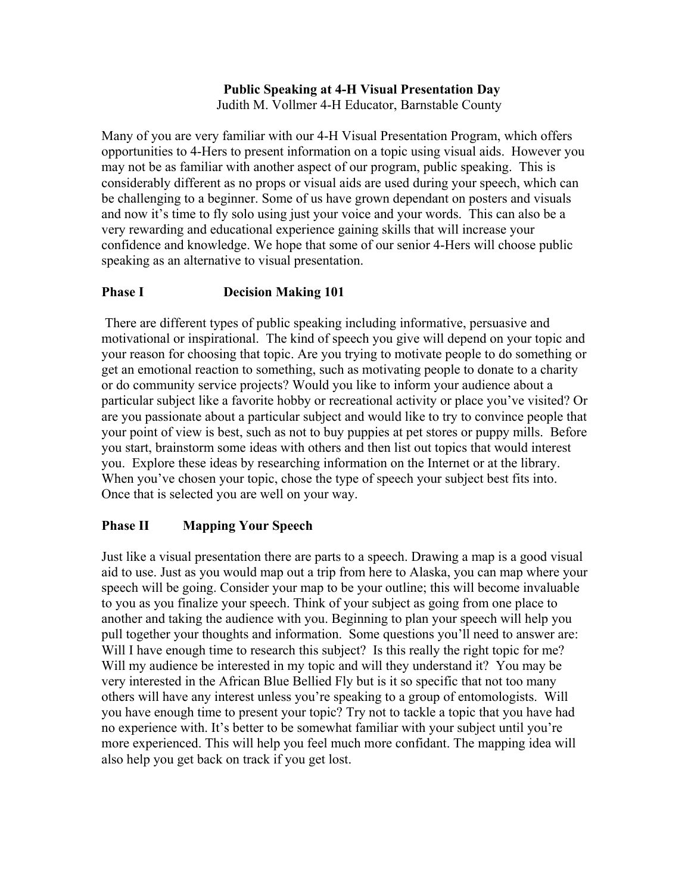# **Public Speaking at 4-H Visual Presentation Day**

Judith M. Vollmer 4-H Educator, Barnstable County

Many of you are very familiar with our 4-H Visual Presentation Program, which offers opportunities to 4-Hers to present information on a topic using visual aids. However you may not be as familiar with another aspect of our program, public speaking. This is considerably different as no props or visual aids are used during your speech, which can be challenging to a beginner. Some of us have grown dependant on posters and visuals and now it's time to fly solo using just your voice and your words. This can also be a very rewarding and educational experience gaining skills that will increase your confidence and knowledge. We hope that some of our senior 4-Hers will choose public speaking as an alternative to visual presentation.

## **Phase I** Decision Making 101

 There are different types of public speaking including informative, persuasive and motivational or inspirational. The kind of speech you give will depend on your topic and your reason for choosing that topic. Are you trying to motivate people to do something or get an emotional reaction to something, such as motivating people to donate to a charity or do community service projects? Would you like to inform your audience about a particular subject like a favorite hobby or recreational activity or place you've visited? Or are you passionate about a particular subject and would like to try to convince people that your point of view is best, such as not to buy puppies at pet stores or puppy mills. Before you start, brainstorm some ideas with others and then list out topics that would interest you. Explore these ideas by researching information on the Internet or at the library. When you've chosen your topic, chose the type of speech your subject best fits into. Once that is selected you are well on your way.

## **Phase II Mapping Your Speech**

Just like a visual presentation there are parts to a speech. Drawing a map is a good visual aid to use. Just as you would map out a trip from here to Alaska, you can map where your speech will be going. Consider your map to be your outline; this will become invaluable to you as you finalize your speech. Think of your subject as going from one place to another and taking the audience with you. Beginning to plan your speech will help you pull together your thoughts and information. Some questions you'll need to answer are: Will I have enough time to research this subject? Is this really the right topic for me? Will my audience be interested in my topic and will they understand it? You may be very interested in the African Blue Bellied Fly but is it so specific that not too many others will have any interest unless you're speaking to a group of entomologists. Will you have enough time to present your topic? Try not to tackle a topic that you have had no experience with. It's better to be somewhat familiar with your subject until you're more experienced. This will help you feel much more confidant. The mapping idea will also help you get back on track if you get lost.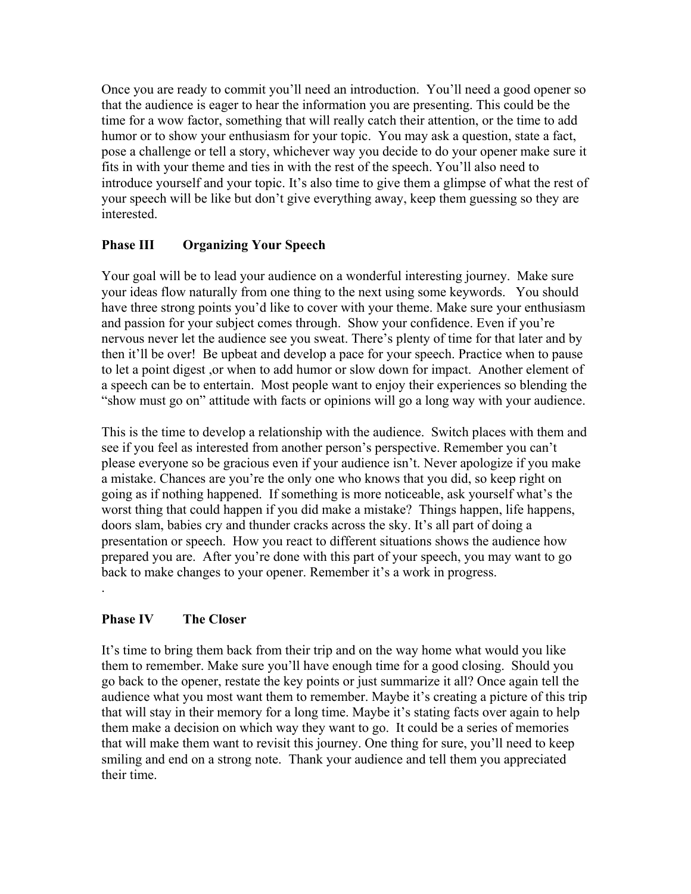Once you are ready to commit you'll need an introduction. You'll need a good opener so that the audience is eager to hear the information you are presenting. This could be the time for a wow factor, something that will really catch their attention, or the time to add humor or to show your enthusiasm for your topic. You may ask a question, state a fact, pose a challenge or tell a story, whichever way you decide to do your opener make sure it fits in with your theme and ties in with the rest of the speech. You'll also need to introduce yourself and your topic. It's also time to give them a glimpse of what the rest of your speech will be like but don't give everything away, keep them guessing so they are **interested** 

## **Phase III Organizing Your Speech**

Your goal will be to lead your audience on a wonderful interesting journey. Make sure your ideas flow naturally from one thing to the next using some keywords. You should have three strong points you'd like to cover with your theme. Make sure your enthusiasm and passion for your subject comes through. Show your confidence. Even if you're nervous never let the audience see you sweat. There's plenty of time for that later and by then it'll be over! Be upbeat and develop a pace for your speech. Practice when to pause to let a point digest ,or when to add humor or slow down for impact. Another element of a speech can be to entertain. Most people want to enjoy their experiences so blending the "show must go on" attitude with facts or opinions will go a long way with your audience.

This is the time to develop a relationship with the audience. Switch places with them and see if you feel as interested from another person's perspective. Remember you can't please everyone so be gracious even if your audience isn't. Never apologize if you make a mistake. Chances are you're the only one who knows that you did, so keep right on going as if nothing happened. If something is more noticeable, ask yourself what's the worst thing that could happen if you did make a mistake? Things happen, life happens, doors slam, babies cry and thunder cracks across the sky. It's all part of doing a presentation or speech. How you react to different situations shows the audience how prepared you are. After you're done with this part of your speech, you may want to go back to make changes to your opener. Remember it's a work in progress. .

## **Phase IV The Closer**

It's time to bring them back from their trip and on the way home what would you like them to remember. Make sure you'll have enough time for a good closing. Should you go back to the opener, restate the key points or just summarize it all? Once again tell the audience what you most want them to remember. Maybe it's creating a picture of this trip that will stay in their memory for a long time. Maybe it's stating facts over again to help them make a decision on which way they want to go. It could be a series of memories that will make them want to revisit this journey. One thing for sure, you'll need to keep smiling and end on a strong note. Thank your audience and tell them you appreciated their time.